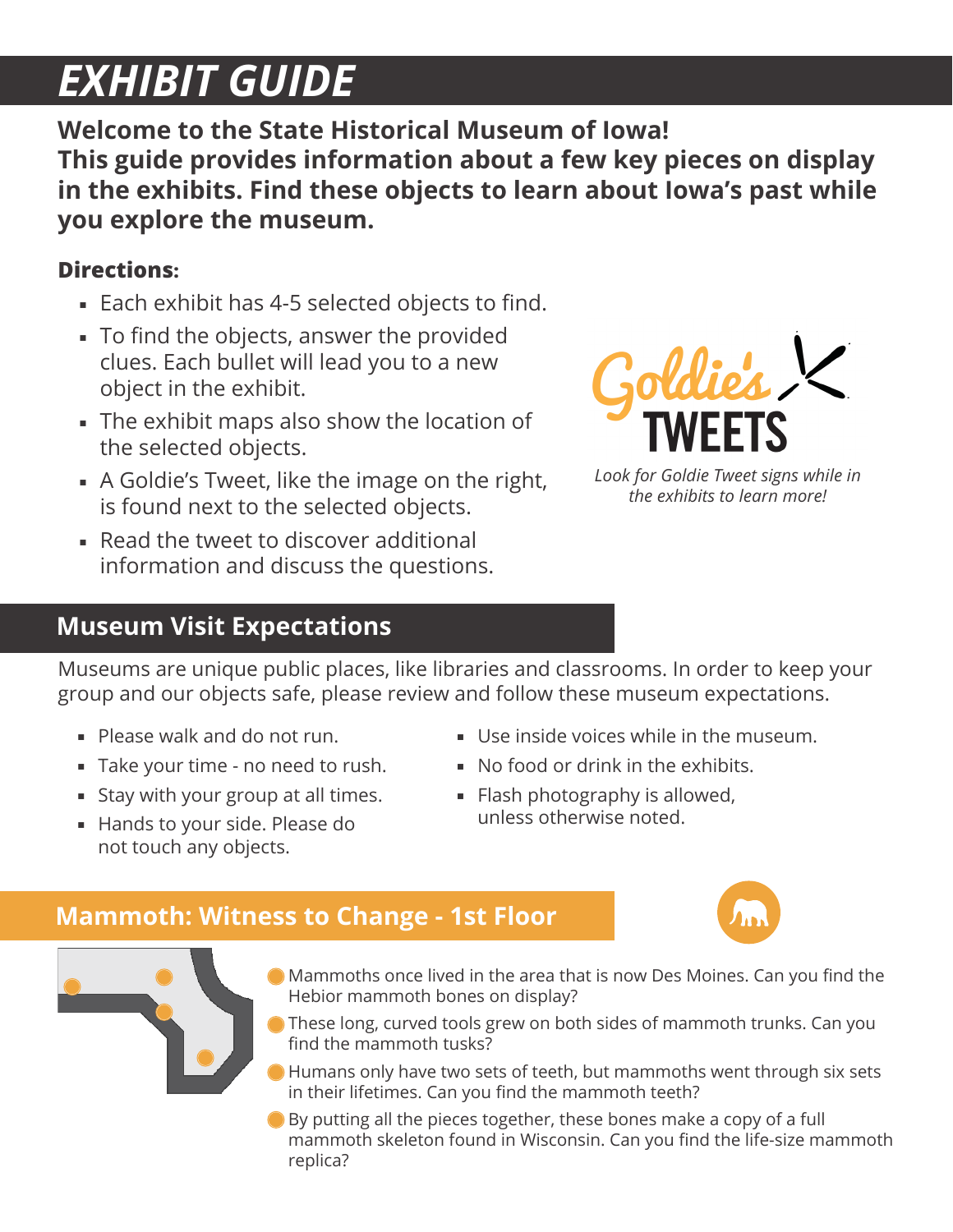# *EXHIBIT GUIDE*

**Welcome to the State Historical Museum of Iowa! This guide provides information about a few key pieces on display in the exhibits. Find these objects to learn about Iowa's past while you explore the museum.**

#### **Directions:**

- Each exhibit has 4-5 selected objects to find.
- To find the objects, answer the provided clues. Each bullet will lead you to a new object in the exhibit.
- The exhibit maps also show the location of the selected objects.
- A Goldie's Tweet, like the image on the right, is found next to the selected objects.
- Read the tweet to discover additional information and discuss the questions.

*Look for Goldie Tweet signs while in the exhibits to learn more!*

# **Museum Visit Expectations**

Museums are unique public places, like libraries and classrooms. In order to keep your group and our objects safe, please review and follow these museum expectations.

- Please walk and do not run.
- Take your time no need to rush.
- **Stay with your group at all times.**
- Hands to your side. Please do not touch any objects.
- Use inside voices while in the museum.
- No food or drink in the exhibits.
- **Flash photography is allowed,** unless otherwise noted.

# **Mammoth: Witness to Change - 1st Floor**

- Mammoths once lived in the area that is now Des Moines. Can you find the Hebior mammoth bones on display?
- These long, curved tools grew on both sides of mammoth trunks. Can you find the mammoth tusks?
- Humans only have two sets of teeth, but mammoths went through six sets in their lifetimes. Can you find the mammoth teeth?
- By putting all the pieces together, these bones make a copy of a full mammoth skeleton found in Wisconsin. Can you find the life-size mammoth replica?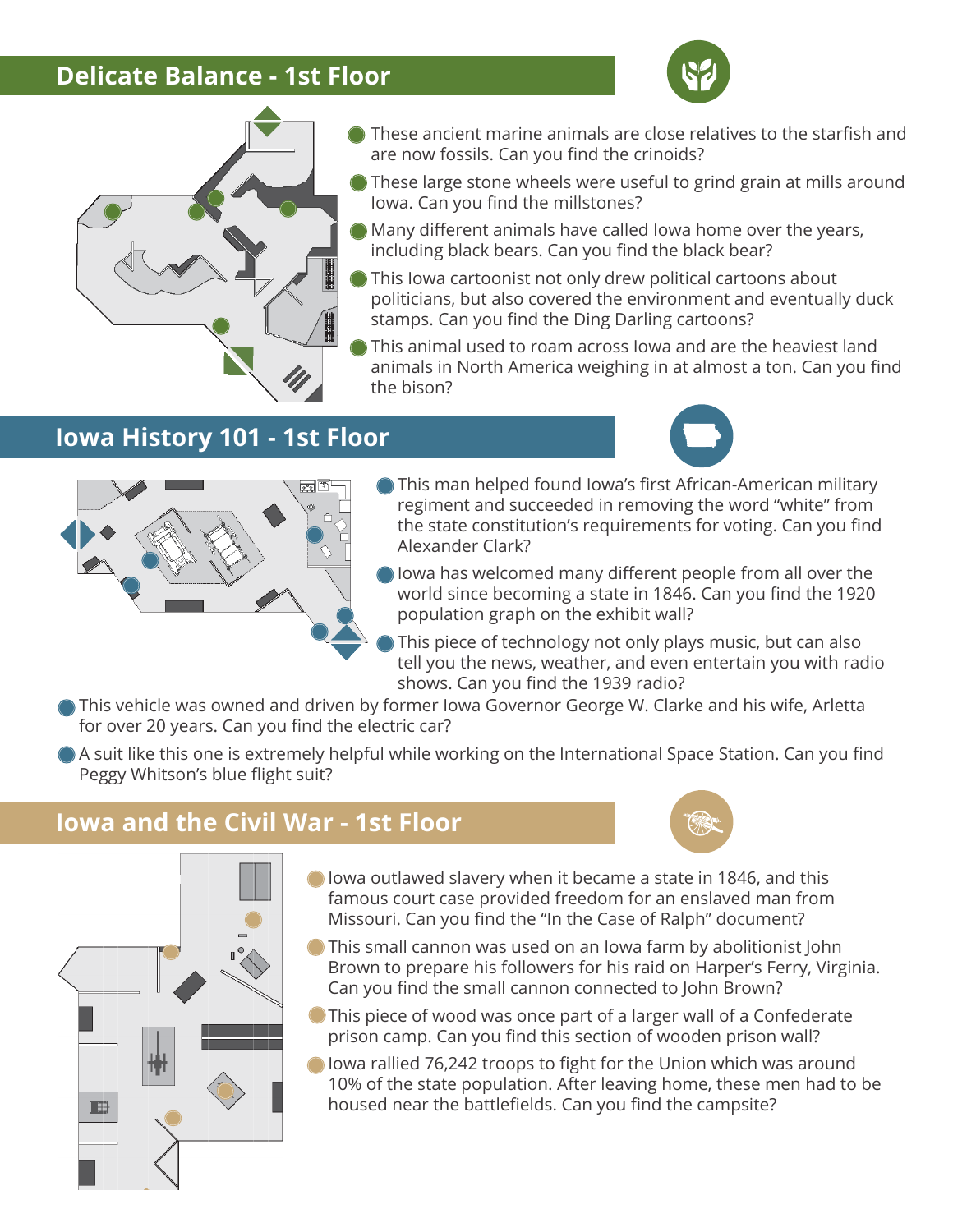#### **Delicate Balance - 1st Floor**





- These ancient marine animals are close relatives to the starfish and are now fossils. Can you find the crinoids?
- These large stone wheels were useful to grind grain at mills around Iowa. Can you find the millstones?
- Many different animals have called Iowa home over the years, including black bears. Can you find the black bear?
- This Iowa cartoonist not only drew political cartoons about politicians, but also covered the environment and eventually duck stamps. Can you find the Ding Darling cartoons?
- This animal used to roam across Iowa and are the heaviest land animals in North America weighing in at almost a ton. Can you find the bison?

#### **Iowa History 101 - 1st Floor**





- This man helped found Iowa's first African-American military regiment and succeeded in removing the word "white" from the state constitution's requirements for voting. Can you find Alexander Clark?
- Iowa has welcomed many different people from all over the world since becoming a state in 1846. Can you find the 1920 population graph on the exhibit wall?
- This piece of technology not only plays music, but can also tell you the news, weather, and even entertain you with radio shows. Can you find the 1939 radio?
- This vehicle was owned and driven by former Iowa Governor George W. Clarke and his wife, Arletta for over 20 years. Can you find the electric car?
- A suit like this one is extremely helpful while working on the International Space Station. Can you find Peggy Whitson's blue flight suit?

#### **Iowa and the Civil War - 1st Floor**

Ħ



- Iowa outlawed slavery when it became a state in 1846, and this famous court case provided freedom for an enslaved man from Missouri. Can you find the "In the Case of Ralph" document?
- This small cannon was used on an Iowa farm by abolitionist John Brown to prepare his followers for his raid on Harper's Ferry, Virginia. Can you find the small cannon connected to John Brown?
- This piece of wood was once part of a larger wall of a Confederate prison camp. Can you find this section of wooden prison wall?
- O lowa rallied 76,242 troops to fight for the Union which was around 10% of the state population. After leaving home, these men had to be housed near the battlefields. Can you find the campsite?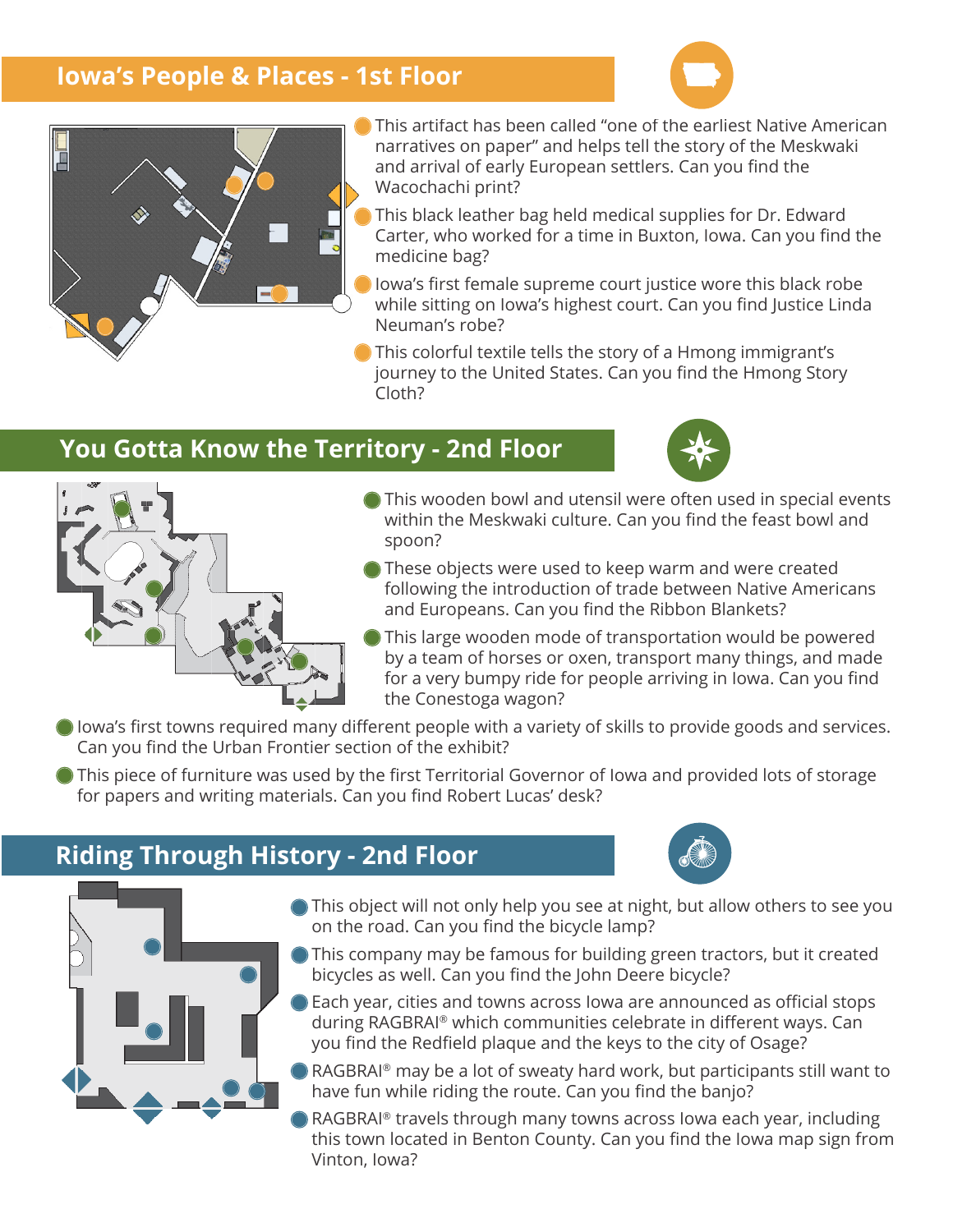#### **Iowa's People & Places - 1st Floor**





- This artifact has been called "one of the earliest Native American narratives on paper" and helps tell the story of the Meskwaki and arrival of early European settlers. Can you find the Wacochachi print?
- This black leather bag held medical supplies for Dr. Edward Carter, who worked for a time in Buxton, Iowa. Can you find the medicine bag?
- Iowa's first female supreme court justice wore this black robe while sitting on Iowa's highest court. Can you find Justice Linda Neuman's robe?
- This colorful textile tells the story of a Hmong immigrant's journey to the United States. Can you find the Hmong Story Cloth?

#### **You Gotta Know the Territory - 2nd Floor**





- This wooden bowl and utensil were often used in special events within the Meskwaki culture. Can you find the feast bowl and spoon?
- These objects were used to keep warm and were created following the introduction of trade between Native Americans and Europeans. Can you find the Ribbon Blankets?
	- This large wooden mode of transportation would be powered by a team of horses or oxen, transport many things, and made for a very bumpy ride for people arriving in Iowa. Can you find the Conestoga wagon?
- I lowa's first towns required many different people with a variety of skills to provide goods and services. Can you find the Urban Frontier section of the exhibit?
- This piece of furniture was used by the first Territorial Governor of Iowa and provided lots of storage for papers and writing materials. Can you find Robert Lucas' desk?

### **Riding Through History - 2nd Floor**





- This object will not only help you see at night, but allow others to see you on the road. Can you find the bicycle lamp?
- This company may be famous for building green tractors, but it created bicycles as well. Can you find the John Deere bicycle?
- Each year, cities and towns across Iowa are announced as official stops during RAGBRAI® which communities celebrate in different ways. Can you find the Redfield plaque and the keys to the city of Osage?
- RAGBRAI® may be a lot of sweaty hard work, but participants still want to have fun while riding the route. Can you find the banjo?
- RAGBRAI® travels through many towns across Iowa each year, including this town located in Benton County. Can you find the Iowa map sign from Vinton, Iowa?